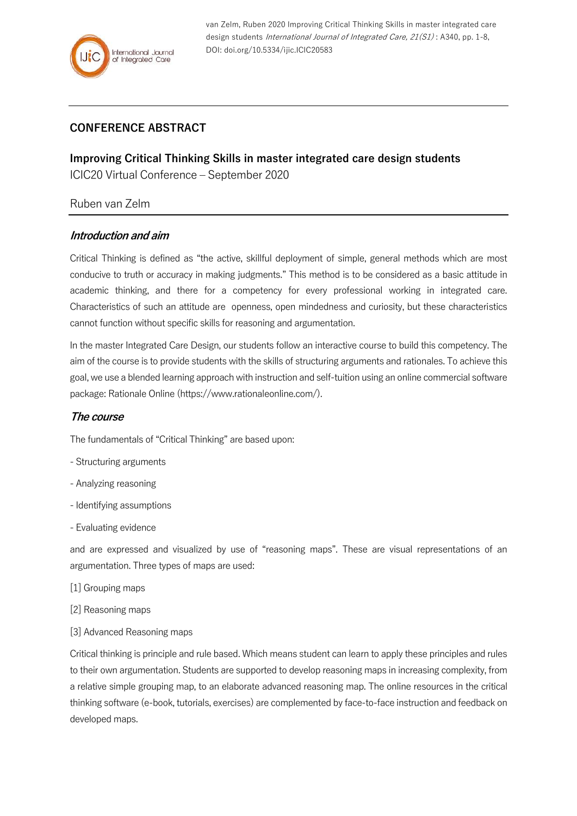

van Zelm, Ruben 2020 Improving Critical Thinking Skills in master integrated care design students *International Journal of Integrated Care, 21(S1)*: A340, pp. 1-8, DOI: doi.org/10.5334/ijic.ICIC20583

# **CONFERENCE ABSTRACT**

**Improving Critical Thinking Skills in master integrated care design students** ICIC20 Virtual Conference – September 2020

### Ruben van Zelm

### **Introduction and aim**

Critical Thinking is defined as "the active, skillful deployment of simple, general methods which are most conducive to truth or accuracy in making judgments." This method is to be considered as a basic attitude in academic thinking, and there for a competency for every professional working in integrated care. Characteristics of such an attitude are openness, open mindedness and curiosity, but these characteristics cannot function without specific skills for reasoning and argumentation.

In the master Integrated Care Design, our students follow an interactive course to build this competency. The aim of the course is to provide students with the skills of structuring arguments and rationales. To achieve this goal, we use a blended learning approach with instruction and self-tuition using an online commercial software package: Rationale Online (https://www.rationaleonline.com/).

### **The course**

The fundamentals of "Critical Thinking" are based upon:

- Structuring arguments
- Analyzing reasoning
- Identifying assumptions
- Evaluating evidence

and are expressed and visualized by use of "reasoning maps". These are visual representations of an argumentation. Three types of maps are used:

- [1] Grouping maps
- [2] Reasoning maps
- [3] Advanced Reasoning maps

Critical thinking is principle and rule based. Which means student can learn to apply these principles and rules to their own argumentation. Students are supported to develop reasoning maps in increasing complexity, from a relative simple grouping map, to an elaborate advanced reasoning map. The online resources in the critical thinking software (e-book, tutorials, exercises) are complemented by face-to-face instruction and feedback on developed maps.